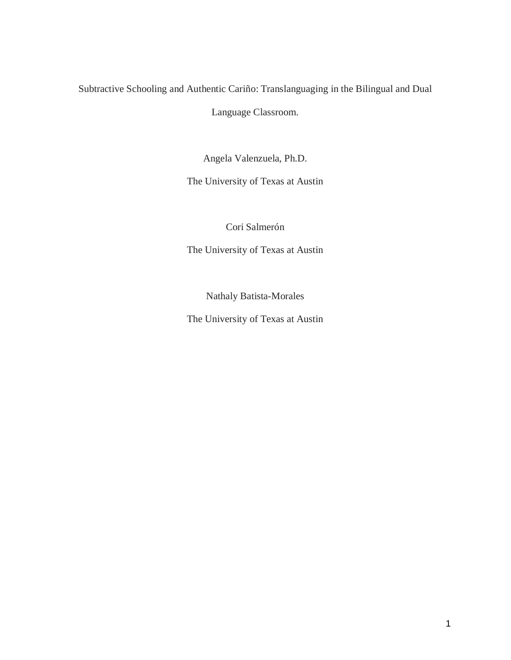# Subtractive Schooling and Authentic Cariño: Translanguaging in the Bilingual and Dual

Language Classroom.

Angela Valenzuela, Ph.D.

The University of Texas at Austin

Cori Salmerón

The University of Texas at Austin

Nathaly Batista-Morales

The University of Texas at Austin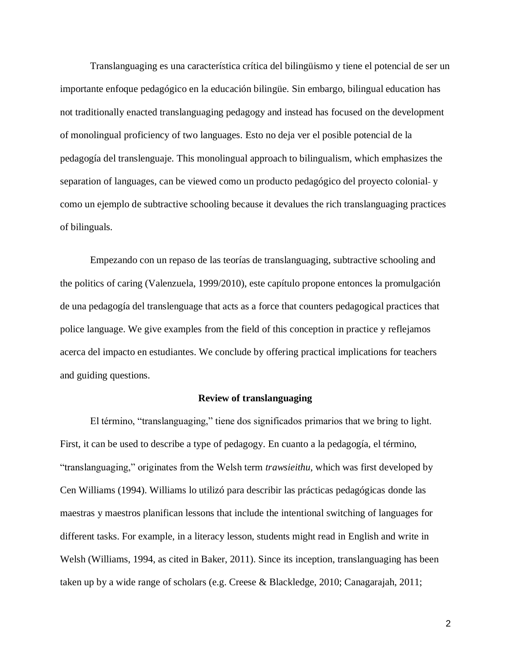Translanguaging es una característica crítica del bilingüismo y tiene el potencial de ser un importante enfoque pedagógico en la educación bilingüe. Sin embargo, bilingual education has not traditionally enacted translanguaging pedagogy and instead has focused on the development of monolingual proficiency of two languages. Esto no deja ver el posible potencial de la pedagogía del translenguaje. This monolingual approach to bilingualism, which emphasizes the separation of languages, can be viewed como un producto pedagógico del proyecto colonial y como un ejemplo de subtractive schooling because it devalues the rich translanguaging practices of bilinguals.

Empezando con un repaso de las teorías de translanguaging, subtractive schooling and the politics of caring (Valenzuela, 1999/2010), este capítulo propone entonces la promulgación de una pedagogía del translenguage that acts as a force that counters pedagogical practices that police language. We give examples from the field of this conception in practice y reflejamos acerca del impacto en estudiantes. We conclude by offering practical implications for teachers and guiding questions.

### **Review of translanguaging**

El término, "translanguaging," tiene dos significados primarios that we bring to light. First, it can be used to describe a type of pedagogy. En cuanto a la pedagogía, el término, "translanguaging," originates from the Welsh term *trawsieithu,* which was first developed by Cen Williams (1994). Williams lo utilizó para describir las prácticas pedagógicas donde las maestras y maestros planifican lessons that include the intentional switching of languages for different tasks. For example, in a literacy lesson, students might read in English and write in Welsh (Williams, 1994, as cited in Baker, 2011). Since its inception, translanguaging has been taken up by a wide range of scholars (e.g. Creese & Blackledge, 2010; Canagarajah, 2011;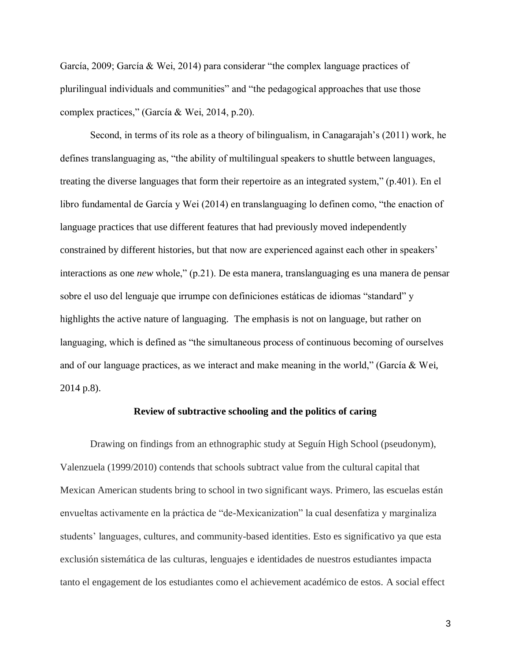García, 2009; García & Wei, 2014) para considerar "the complex language practices of plurilingual individuals and communities" and "the pedagogical approaches that use those complex practices," (García & Wei, 2014, p.20).

Second, in terms of its role as a theory of bilingualism, in Canagarajah's (2011) work, he defines translanguaging as, "the ability of multilingual speakers to shuttle between languages, treating the diverse languages that form their repertoire as an integrated system," (p.401). En el libro fundamental de García y Wei (2014) en translanguaging lo definen como, "the enaction of language practices that use different features that had previously moved independently constrained by different histories, but that now are experienced against each other in speakers' interactions as one *new* whole," (p.21). De esta manera, translanguaging es una manera de pensar sobre el uso del lenguaje que irrumpe con definiciones estáticas de idiomas "standard" y highlights the active nature of languaging. The emphasis is not on language, but rather on languaging, which is defined as "the simultaneous process of continuous becoming of ourselves and of our language practices, as we interact and make meaning in the world," (García & Wei, 2014 p.8).

### **Review of subtractive schooling and the politics of caring**

Drawing on findings from an ethnographic study at Seguín High School (pseudonym), Valenzuela (1999/2010) contends that schools subtract value from the cultural capital that Mexican American students bring to school in two significant ways. Primero, las escuelas están envueltas activamente en la práctica de "de-Mexicanization" la cual desenfatiza y marginaliza students' languages, cultures, and community-based identities. Esto es significativo ya que esta exclusión sistemática de las culturas, lenguajes e identidades de nuestros estudiantes impacta tanto el engagement de los estudiantes como el achievement académico de estos. A social effect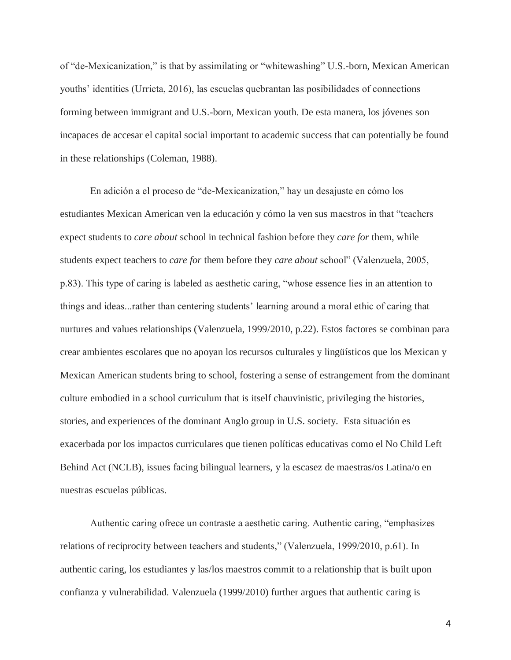of "de-Mexicanization," is that by assimilating or "whitewashing" U.S.-born, Mexican American youths' identities (Urrieta, 2016), las escuelas quebrantan las posibilidades of connections forming between immigrant and U.S.-born, Mexican youth. De esta manera, los jóvenes son incapaces de accesar el capital social important to academic success that can potentially be found in these relationships (Coleman, 1988).

En adición a el proceso de "de-Mexicanization," hay un desajuste en cómo los estudiantes Mexican American ven la educación y cómo la ven sus maestros in that "teachers expect students to *care about* school in technical fashion before they *care for* them, while students expect teachers to *care for* them before they *care about* school" (Valenzuela, 2005, p.83). This type of caring is labeled as aesthetic caring, "whose essence lies in an attention to things and ideas...rather than centering students' learning around a moral ethic of caring that nurtures and values relationships (Valenzuela, 1999/2010, p.22). Estos factores se combinan para crear ambientes escolares que no apoyan los recursos culturales y lingüísticos que los Mexican y Mexican American students bring to school, fostering a sense of estrangement from the dominant culture embodied in a school curriculum that is itself chauvinistic, privileging the histories, stories, and experiences of the dominant Anglo group in U.S. society. Esta situación es exacerbada por los impactos curriculares que tienen políticas educativas como el No Child Left Behind Act (NCLB), issues facing bilingual learners, y la escasez de maestras/os Latina/o en nuestras escuelas públicas.

Authentic caring ofrece un contraste a aesthetic caring. Authentic caring, "emphasizes relations of reciprocity between teachers and students," (Valenzuela, 1999/2010, p.61). In authentic caring, los estudiantes y las/los maestros commit to a relationship that is built upon confianza y vulnerabilidad. Valenzuela (1999/2010) further argues that authentic caring is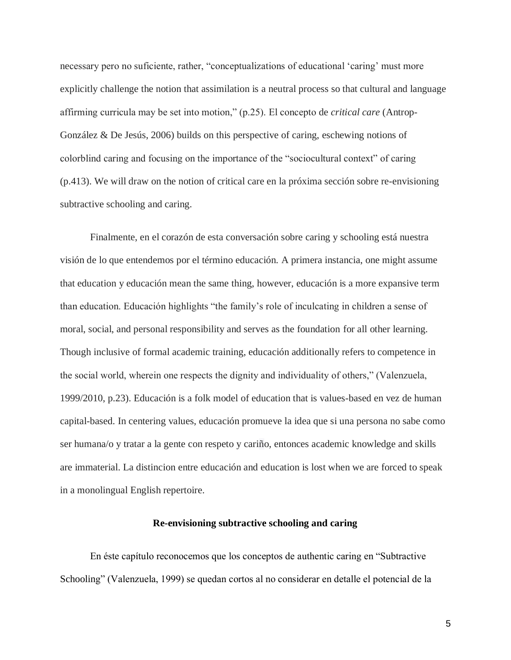necessary pero no suficiente, rather, "conceptualizations of educational 'caring' must more explicitly challenge the notion that assimilation is a neutral process so that cultural and language affirming curricula may be set into motion," (p.25). El concepto de *critical care* (Antrop-González & De Jesús, 2006) builds on this perspective of caring, eschewing notions of colorblind caring and focusing on the importance of the "sociocultural context" of caring (p.413). We will draw on the notion of critical care en la próxima sección sobre re-envisioning subtractive schooling and caring.

Finalmente, en el corazón de esta conversación sobre caring y schooling está nuestra visión de lo que entendemos por el término educación. A primera instancia, one might assume that education y educación mean the same thing, however, educación is a more expansive term than education. Educación highlights "the family's role of inculcating in children a sense of moral, social, and personal responsibility and serves as the foundation for all other learning. Though inclusive of formal academic training, educación additionally refers to competence in the social world, wherein one respects the dignity and individuality of others," (Valenzuela, 1999/2010, p.23). Educación is a folk model of education that is values-based en vez de human capital-based. In centering values, educación promueve la idea que si una persona no sabe como ser humana/o y tratar a la gente con respeto y cariño, entonces academic knowledge and skills are immaterial. La distincion entre educación and education is lost when we are forced to speak in a monolingual English repertoire.

### **Re-envisioning subtractive schooling and caring**

En éste capítulo reconocemos que los conceptos de authentic caring en "Subtractive Schooling" (Valenzuela, 1999) se quedan cortos al no considerar en detalle el potencial de la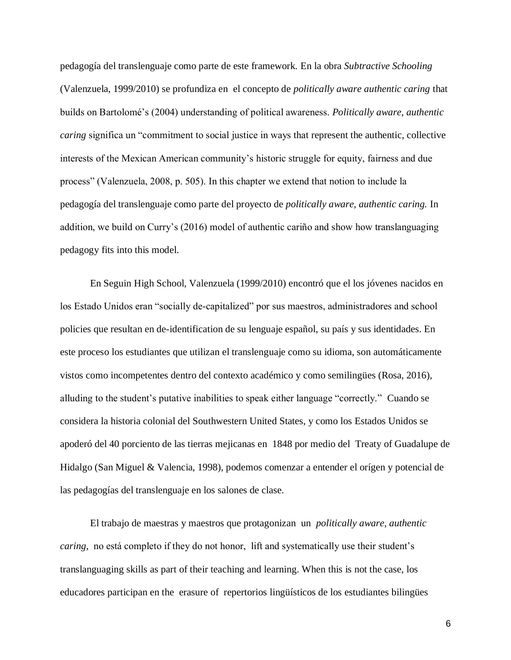pedagogía del translenguaje como parte de este framework. En la obra *Subtractive Schooling* (Valenzuela, 1999/2010) se profundiza en el concepto de *politically aware authentic caring* that builds on Bartolomé's (2004) understanding of political awareness. *Politically aware, authentic caring* significa un "commitment to social justice in ways that represent the authentic, collective interests of the Mexican American community's historic struggle for equity, fairness and due process" (Valenzuela, 2008, p. 505). In this chapter we extend that notion to include la pedagogía del translenguaje como parte del proyecto de *politically aware, authentic caring.* In addition, we build on Curry's (2016) model of authentic cariño and show how translanguaging pedagogy fits into this model.

En Seguin High School, Valenzuela (1999/2010) encontró que el los jóvenes nacidos en los Estado Unidos eran "socially de-capitalized" por sus maestros, administradores and school policies que resultan en de-identification de su lenguaje español, su país y sus identidades. En este proceso los estudiantes que utilizan el translenguaje como su idioma, son automáticamente vistos como incompetentes dentro del contexto académico y como semilingües (Rosa, 2016), alluding to the student's putative inabilities to speak either language "correctly." Cuando se considera la historia colonial del Southwestern United States, y como los Estados Unidos se apoderó del 40 porciento de las tierras mejicanas en 1848 por medio del Treaty of Guadalupe de Hidalgo (San Miguel & Valencia, 1998), podemos comenzar a entender el orígen y potencial de las pedagogías del translenguaje en los salones de clase.

El trabajo de maestras y maestros que protagonizan un *politically aware, authentic caring,* no está completo if they do not honor, lift and systematically use their student's translanguaging skills as part of their teaching and learning. When this is not the case, los educadores participan en the erasure of repertorios lingüísticos de los estudiantes bilingües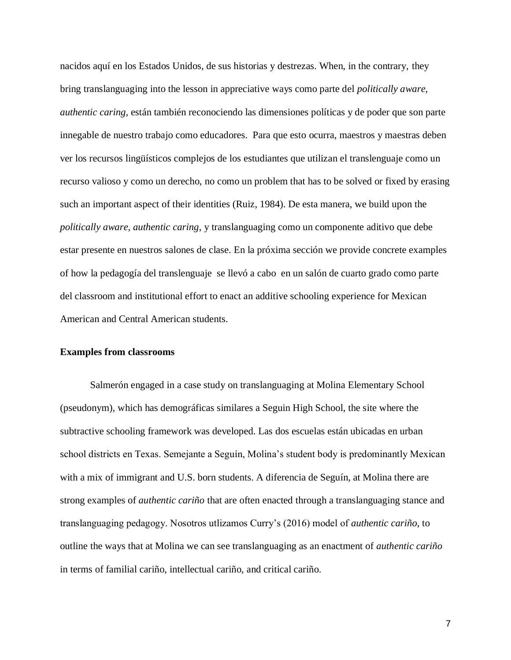nacidos aquí en los Estados Unidos, de sus historias y destrezas. When, in the contrary, they bring translanguaging into the lesson in appreciative ways como parte del *politically aware, authentic caring,* están también reconociendo las dimensiones políticas y de poder que son parte innegable de nuestro trabajo como educadores. Para que esto ocurra, maestros y maestras deben ver los recursos lingüísticos complejos de los estudiantes que utilizan el translenguaje como un recurso valioso y como un derecho, no como un problem that has to be solved or fixed by erasing such an important aspect of their identities (Ruiz, 1984). De esta manera, we build upon the *politically aware, authentic caring*, y translanguaging como un componente aditivo que debe estar presente en nuestros salones de clase. En la próxima sección we provide concrete examples of how la pedagogía del translenguaje se llevó a cabo en un salón de cuarto grado como parte del classroom and institutional effort to enact an additive schooling experience for Mexican American and Central American students.

## **Examples from classrooms**

Salmerón engaged in a case study on translanguaging at Molina Elementary School (pseudonym), which has demográficas similares a Seguin High School, the site where the subtractive schooling framework was developed. Las dos escuelas están ubicadas en urban school districts en Texas. Semejante a Seguín, Molina's student body is predominantly Mexican with a mix of immigrant and U.S. born students. A diferencia de Seguín, at Molina there are strong examples of *authentic cariño* that are often enacted through a translanguaging stance and translanguaging pedagogy. Nosotros utlizamos Curry's (2016) model of *authentic cariño*, to outline the ways that at Molina we can see translanguaging as an enactment of *authentic cariño* in terms of familial cariño, intellectual cariño, and critical cariño.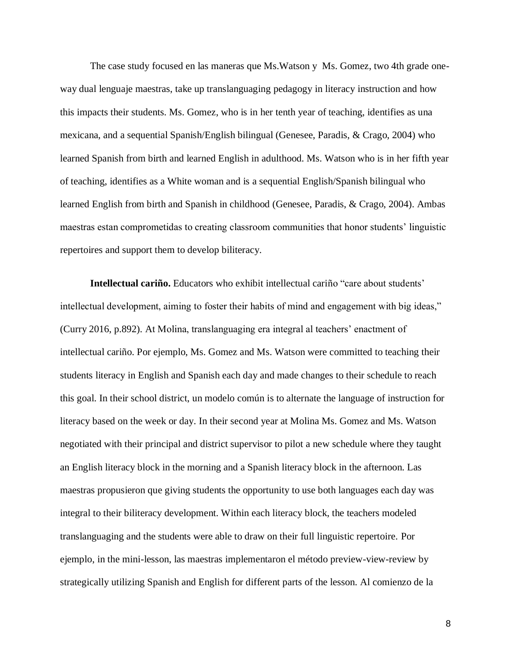The case study focused en las maneras que Ms.Watson y Ms. Gomez, two 4th grade oneway dual lenguaje maestras, take up translanguaging pedagogy in literacy instruction and how this impacts their students. Ms. Gomez, who is in her tenth year of teaching, identifies as una mexicana, and a sequential Spanish/English bilingual (Genesee, Paradis, & Crago, 2004) who learned Spanish from birth and learned English in adulthood. Ms. Watson who is in her fifth year of teaching, identifies as a White woman and is a sequential English/Spanish bilingual who learned English from birth and Spanish in childhood (Genesee, Paradis, & Crago, 2004). Ambas maestras estan comprometidas to creating classroom communities that honor students' linguistic repertoires and support them to develop biliteracy.

**Intellectual cariño.** Educators who exhibit intellectual cariño "care about students' intellectual development, aiming to foster their habits of mind and engagement with big ideas," (Curry 2016, p.892). At Molina, translanguaging era integral al teachers' enactment of intellectual cariño. Por ejemplo, Ms. Gomez and Ms. Watson were committed to teaching their students literacy in English and Spanish each day and made changes to their schedule to reach this goal. In their school district, un modelo común is to alternate the language of instruction for literacy based on the week or day. In their second year at Molina Ms. Gomez and Ms. Watson negotiated with their principal and district supervisor to pilot a new schedule where they taught an English literacy block in the morning and a Spanish literacy block in the afternoon. Las maestras propusieron que giving students the opportunity to use both languages each day was integral to their biliteracy development. Within each literacy block, the teachers modeled translanguaging and the students were able to draw on their full linguistic repertoire. Por ejemplo, in the mini-lesson, las maestras implementaron el método preview-view-review by strategically utilizing Spanish and English for different parts of the lesson. Al comienzo de la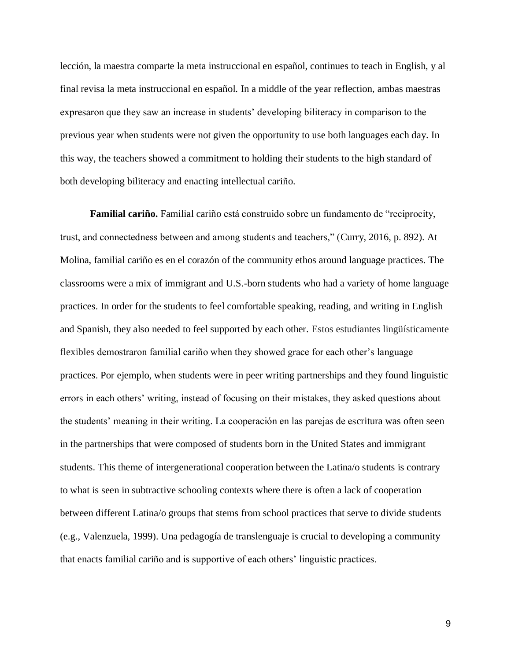lección, la maestra comparte la meta instruccional en español, continues to teach in English, y al final revisa la meta instruccional en español. In a middle of the year reflection, ambas maestras expresaron que they saw an increase in students' developing biliteracy in comparison to the previous year when students were not given the opportunity to use both languages each day. In this way, the teachers showed a commitment to holding their students to the high standard of both developing biliteracy and enacting intellectual cariño.

**Familial cariño.** Familial cariño está construido sobre un fundamento de "reciprocity, trust, and connectedness between and among students and teachers," (Curry, 2016, p. 892). At Molina, familial cariño es en el corazón of the community ethos around language practices. The classrooms were a mix of immigrant and U.S.-born students who had a variety of home language practices. In order for the students to feel comfortable speaking, reading, and writing in English and Spanish, they also needed to feel supported by each other. Estos estudiantes lingüísticamente flexibles demostraron familial cariño when they showed grace for each other's language practices. Por ejemplo, when students were in peer writing partnerships and they found linguistic errors in each others' writing, instead of focusing on their mistakes, they asked questions about the students' meaning in their writing. La cooperación en las parejas de escritura was often seen in the partnerships that were composed of students born in the United States and immigrant students. This theme of intergenerational cooperation between the Latina/o students is contrary to what is seen in subtractive schooling contexts where there is often a lack of cooperation between different Latina/o groups that stems from school practices that serve to divide students (e.g., Valenzuela, 1999). Una pedagogía de translenguaje is crucial to developing a community that enacts familial cariño and is supportive of each others' linguistic practices.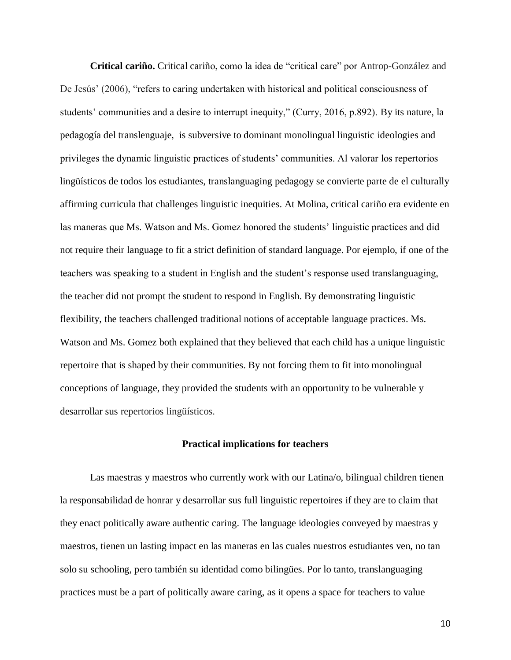**Critical cariño.** Critical cariño, como la idea de "critical care" por Antrop-González and De Jesús' (2006), "refers to caring undertaken with historical and political consciousness of students' communities and a desire to interrupt inequity," (Curry, 2016, p.892). By its nature, la pedagogía del translenguaje, is subversive to dominant monolingual linguistic ideologies and privileges the dynamic linguistic practices of students' communities. Al valorar los repertorios lingüísticos de todos los estudiantes, translanguaging pedagogy se convierte parte de el culturally affirming curricula that challenges linguistic inequities. At Molina, critical cariño era evidente en las maneras que Ms. Watson and Ms. Gomez honored the students' linguistic practices and did not require their language to fit a strict definition of standard language. Por ejemplo, if one of the teachers was speaking to a student in English and the student's response used translanguaging, the teacher did not prompt the student to respond in English. By demonstrating linguistic flexibility, the teachers challenged traditional notions of acceptable language practices. Ms. Watson and Ms. Gomez both explained that they believed that each child has a unique linguistic repertoire that is shaped by their communities. By not forcing them to fit into monolingual conceptions of language, they provided the students with an opportunity to be vulnerable y desarrollar sus repertorios lingüísticos.

### **Practical implications for teachers**

Las maestras y maestros who currently work with our Latina/o, bilingual children tienen la responsabilidad de honrar y desarrollar sus full linguistic repertoires if they are to claim that they enact politically aware authentic caring. The language ideologies conveyed by maestras y maestros, tienen un lasting impact en las maneras en las cuales nuestros estudiantes ven, no tan solo su schooling, pero también su identidad como bilingües. Por lo tanto, translanguaging practices must be a part of politically aware caring, as it opens a space for teachers to value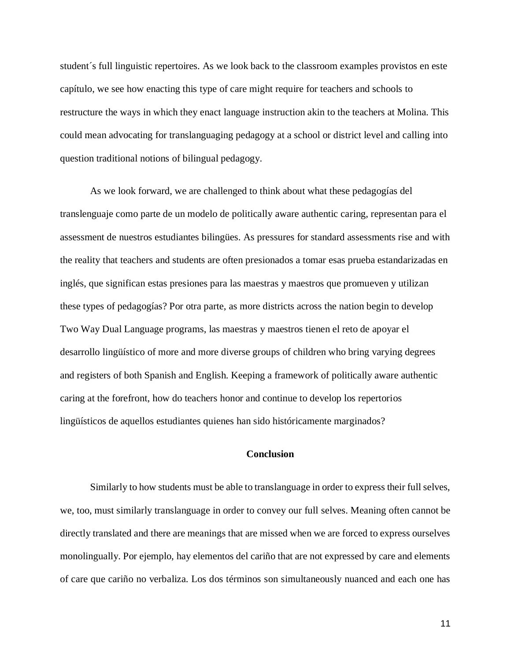student´s full linguistic repertoires. As we look back to the classroom examples provistos en este capítulo, we see how enacting this type of care might require for teachers and schools to restructure the ways in which they enact language instruction akin to the teachers at Molina. This could mean advocating for translanguaging pedagogy at a school or district level and calling into question traditional notions of bilingual pedagogy.

As we look forward, we are challenged to think about what these pedagogías del translenguaje como parte de un modelo de politically aware authentic caring, representan para el assessment de nuestros estudiantes bilingües. As pressures for standard assessments rise and with the reality that teachers and students are often presionados a tomar esas prueba estandarizadas en inglés, que significan estas presiones para las maestras y maestros que promueven y utilizan these types of pedagogías? Por otra parte, as more districts across the nation begin to develop Two Way Dual Language programs, las maestras y maestros tienen el reto de apoyar el desarrollo lingüístico of more and more diverse groups of children who bring varying degrees and registers of both Spanish and English. Keeping a framework of politically aware authentic caring at the forefront, how do teachers honor and continue to develop los repertorios lingüísticos de aquellos estudiantes quienes han sido históricamente marginados?

# **Conclusion**

Similarly to how students must be able to translanguage in order to express their full selves, we, too, must similarly translanguage in order to convey our full selves. Meaning often cannot be directly translated and there are meanings that are missed when we are forced to express ourselves monolingually. Por ejemplo, hay elementos del cariño that are not expressed by care and elements of care que cariño no verbaliza. Los dos términos son simultaneously nuanced and each one has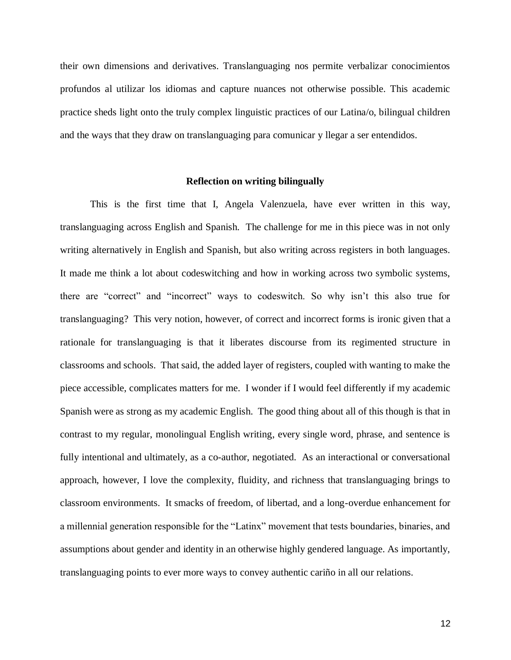their own dimensions and derivatives. Translanguaging nos permite verbalizar conocimientos profundos al utilizar los idiomas and capture nuances not otherwise possible. This academic practice sheds light onto the truly complex linguistic practices of our Latina/o, bilingual children and the ways that they draw on translanguaging para comunicar y llegar a ser entendidos.

### **Reflection on writing bilingually**

This is the first time that I, Angela Valenzuela, have ever written in this way, translanguaging across English and Spanish. The challenge for me in this piece was in not only writing alternatively in English and Spanish, but also writing across registers in both languages. It made me think a lot about codeswitching and how in working across two symbolic systems, there are "correct" and "incorrect" ways to codeswitch. So why isn't this also true for translanguaging? This very notion, however, of correct and incorrect forms is ironic given that a rationale for translanguaging is that it liberates discourse from its regimented structure in classrooms and schools. That said, the added layer of registers, coupled with wanting to make the piece accessible, complicates matters for me. I wonder if I would feel differently if my academic Spanish were as strong as my academic English. The good thing about all of this though is that in contrast to my regular, monolingual English writing, every single word, phrase, and sentence is fully intentional and ultimately, as a co-author, negotiated. As an interactional or conversational approach, however, I love the complexity, fluidity, and richness that translanguaging brings to classroom environments. It smacks of freedom, of libertad, and a long-overdue enhancement for a millennial generation responsible for the "Latinx" movement that tests boundaries, binaries, and assumptions about gender and identity in an otherwise highly gendered language. As importantly, translanguaging points to ever more ways to convey authentic cariño in all our relations.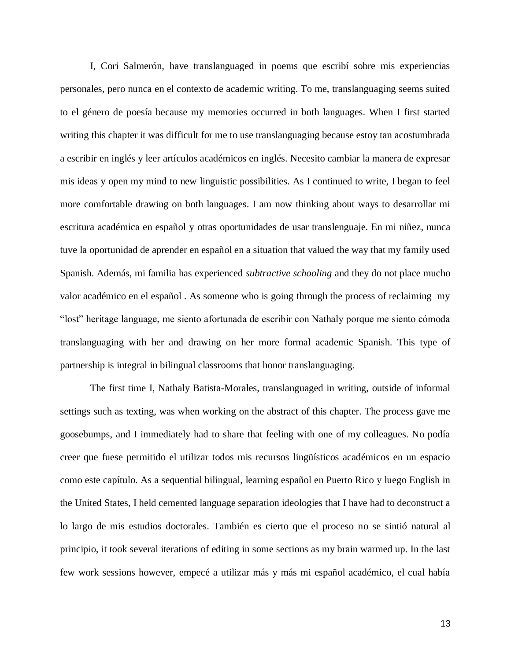I, Cori Salmerón, have translanguaged in poems que escribí sobre mis experiencias personales, pero nunca en el contexto de academic writing. To me, translanguaging seems suited to el género de poesía because my memories occurred in both languages. When I first started writing this chapter it was difficult for me to use translanguaging because estoy tan acostumbrada a escribir en inglés y leer artículos académicos en inglés. Necesito cambiar la manera de expresar mis ideas y open my mind to new linguistic possibilities. As I continued to write, I began to feel more comfortable drawing on both languages. I am now thinking about ways to desarrollar mi escritura académica en español y otras oportunidades de usar translenguaje. En mi niñez, nunca tuve la oportunidad de aprender en español en a situation that valued the way that my family used Spanish. Además, mi familia has experienced *subtractive schooling* and they do not place mucho valor académico en el español . As someone who is going through the process of reclaiming my "lost" heritage language, me siento afortunada de escribir con Nathaly porque me siento cómoda translanguaging with her and drawing on her more formal academic Spanish. This type of partnership is integral in bilingual classrooms that honor translanguaging.

The first time I, Nathaly Batista-Morales, translanguaged in writing, outside of informal settings such as texting, was when working on the abstract of this chapter. The process gave me goosebumps, and I immediately had to share that feeling with one of my colleagues. No podía creer que fuese permitido el utilizar todos mis recursos lingüísticos académicos en un espacio como este capítulo. As a sequential bilingual, learning español en Puerto Rico y luego English in the United States, I held cemented language separation ideologies that I have had to deconstruct a lo largo de mis estudios doctorales. También es cierto que el proceso no se sintió natural al principio, it took several iterations of editing in some sections as my brain warmed up. In the last few work sessions however, empecé a utilizar más y más mi español académico, el cual había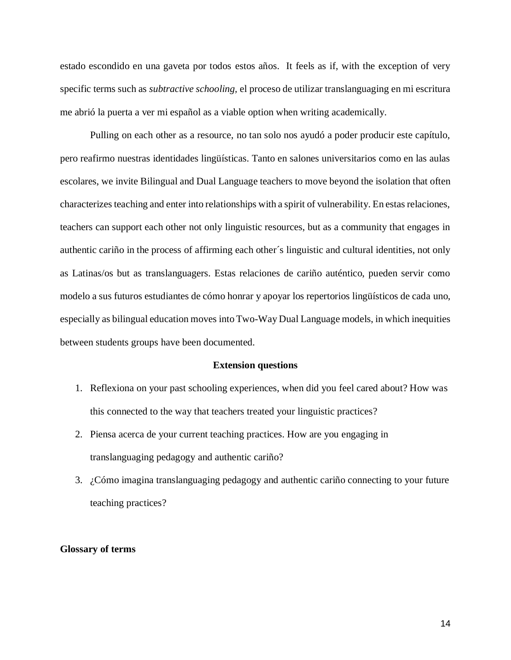estado escondido en una gaveta por todos estos años. It feels as if, with the exception of very specific terms such as *subtractive schooling,* el proceso de utilizar translanguaging en mi escritura me abrió la puerta a ver mi español as a viable option when writing academically.

Pulling on each other as a resource, no tan solo nos ayudó a poder producir este capítulo, pero reafirmo nuestras identidades lingüísticas. Tanto en salones universitarios como en las aulas escolares, we invite Bilingual and Dual Language teachers to move beyond the isolation that often characterizes teaching and enter into relationships with a spirit of vulnerability. En estas relaciones, teachers can support each other not only linguistic resources, but as a community that engages in authentic cariño in the process of affirming each other´s linguistic and cultural identities, not only as Latinas/os but as translanguagers. Estas relaciones de cariño auténtico, pueden servir como modelo a sus futuros estudiantes de cómo honrar y apoyar los repertorios lingüísticos de cada uno, especially as bilingual education moves into Two-Way Dual Language models, in which inequities between students groups have been documented.

#### **Extension questions**

- 1. Reflexiona on your past schooling experiences, when did you feel cared about? How was this connected to the way that teachers treated your linguistic practices?
- 2. Piensa acerca de your current teaching practices. How are you engaging in translanguaging pedagogy and authentic cariño?
- 3. ¿Cómo imagina translanguaging pedagogy and authentic cariño connecting to your future teaching practices?

### **Glossary of terms**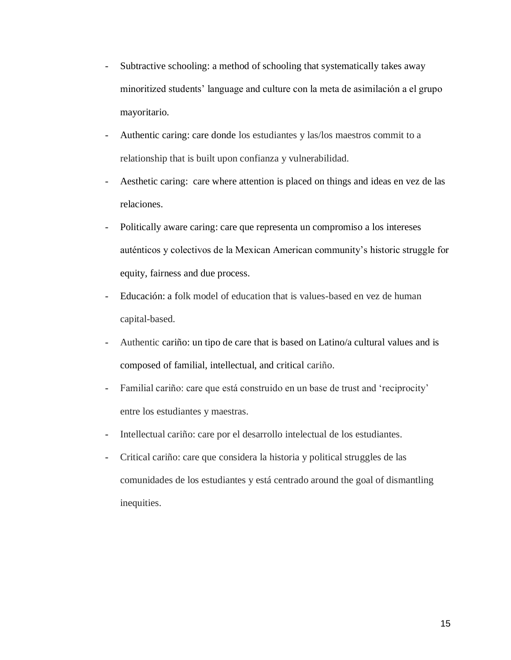- Subtractive schooling: a method of schooling that systematically takes away minoritized students' language and culture con la meta de asimilación a el grupo mayoritario.
- Authentic caring: care donde los estudiantes y las/los maestros commit to a relationship that is built upon confianza y vulnerabilidad.
- Aesthetic caring: care where attention is placed on things and ideas en vez de las relaciones.
- Politically aware caring: care que representa un compromiso a los intereses auténticos y colectivos de la Mexican American community's historic struggle for equity, fairness and due process.
- Educación: a folk model of education that is values-based en vez de human capital-based.
- Authentic cariño: un tipo de care that is based on Latino/a cultural values and is composed of familial, intellectual, and critical cariño.
- Familial cariño: care que está construido en un base de trust and 'reciprocity' entre los estudiantes y maestras.
- Intellectual cariño: care por el desarrollo intelectual de los estudiantes.
- Critical cariño: care que considera la historia y political struggles de las comunidades de los estudiantes y está centrado around the goal of dismantling inequities.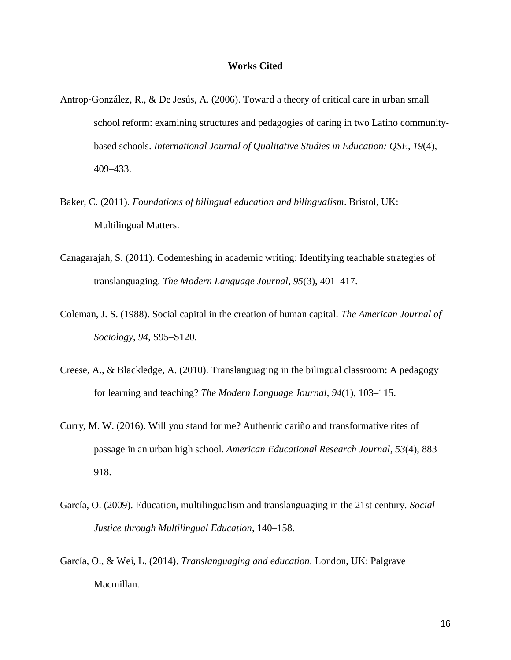### **Works Cited**

- Antrop‐González, R., & De Jesús, A. (2006). Toward a theory of critical care in urban small school reform: examining structures and pedagogies of caring in two Latino communitybased schools. *International Journal of Qualitative Studies in Education: QSE*, *19*(4), 409–433.
- Baker, C. (2011). *Foundations of bilingual education and bilingualism*. Bristol, UK: Multilingual Matters.
- Canagarajah, S. (2011). Codemeshing in academic writing: Identifying teachable strategies of translanguaging. *The Modern Language Journal*, *95*(3), 401–417.
- Coleman, J. S. (1988). Social capital in the creation of human capital. *The American Journal of Sociology*, *94*, S95–S120.
- Creese, A., & Blackledge, A. (2010). Translanguaging in the bilingual classroom: A pedagogy for learning and teaching? *The Modern Language Journal*, *94*(1), 103–115.
- Curry, M. W. (2016). Will you stand for me? Authentic cariño and transformative rites of passage in an urban high school. *American Educational Research Journal*, *53*(4), 883– 918.
- García, O. (2009). Education, multilingualism and translanguaging in the 21st century. *Social Justice through Multilingual Education*, 140–158.
- García, O., & Wei, L. (2014). *Translanguaging and education*. London, UK: Palgrave Macmillan.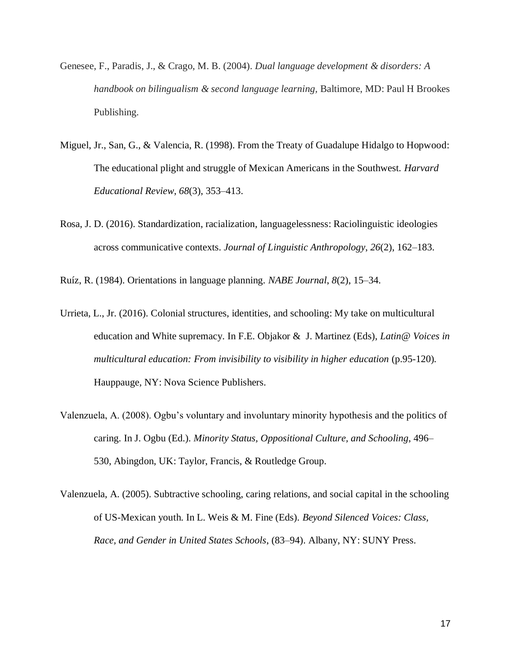- Genesee, F., Paradis, J., & Crago, M. B. (2004). *Dual language development & disorders: A handbook on bilingualism & second language learning,* Baltimore, MD: Paul H Brookes Publishing.
- Miguel, Jr., San, G., & Valencia, R. (1998). From the Treaty of Guadalupe Hidalgo to Hopwood: The educational plight and struggle of Mexican Americans in the Southwest. *Harvard Educational Review*, *68*(3), 353–413.
- Rosa, J. D. (2016). Standardization, racialization, languagelessness: Raciolinguistic ideologies across communicative contexts. *Journal of Linguistic Anthropology*, *26*(2), 162–183.

Ruíz, R. (1984). Orientations in language planning. *NABE Journal*, *8*(2), 15–34.

- Urrieta, L., Jr. (2016). Colonial structures, identities, and schooling: My take on multicultural education and White supremacy. In F.E. Objakor & J. Martinez (Eds), *Latin@ Voices in multicultural education: From invisibility to visibility in higher education* (p.95-120). Hauppauge, NY: Nova Science Publishers.
- Valenzuela, A. (2008). Ogbu's voluntary and involuntary minority hypothesis and the politics of caring. In J. Ogbu (Ed.). *Minority Status, Oppositional Culture, and Schooling*, 496– 530, Abingdon, UK: Taylor, Francis, & Routledge Group.
- Valenzuela, A. (2005). Subtractive schooling, caring relations, and social capital in the schooling of US-Mexican youth. In L. Weis & M. Fine (Eds). *Beyond Silenced Voices: Class, Race, and Gender in United States Schools*, (83–94). Albany, NY: SUNY Press.